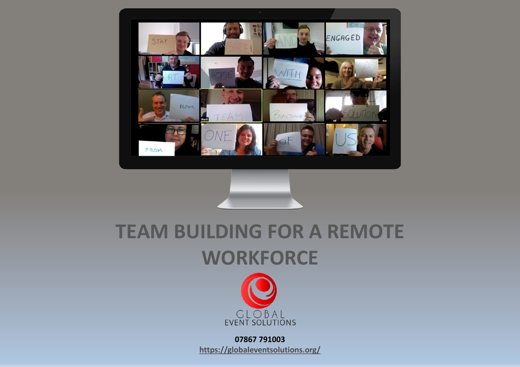

#### **TEAM BUILDING FOR A REMOTE WORKFORCE**



**07867 791003 <https://globaleventsolutions.org/>**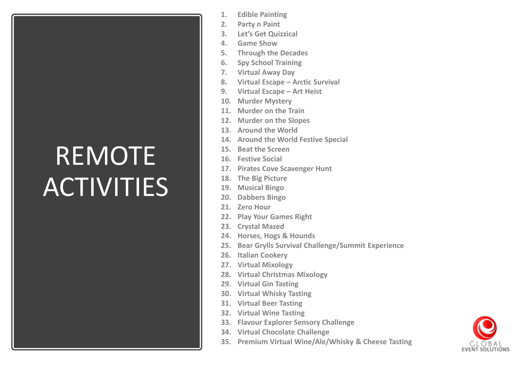#### REMOTE **ACTIVITIES**

- **1. Edible Painting**
- **2. Party n Paint**
- **3. Let's Get Quizzical**
- **4. Game Show**
- **5. Through the Decades**
- **6. Spy School Training**
- **7. Virtual Away Day**
- **8. Virtual Escape – Arctic Survival**
- **9. Virtual Escape – Art Heist**
- **10. Murder Mystery**
- **11. Murder on the Train**
- **12. Murder on the Slopes**
- **13. Around the World**
- **14. Around the World Festive Special**
- **15. Beat the Screen**
- **16. Festive Social**
- **17. Pirates Cove Scavenger Hunt**
- **18. The Big Picture**
- **19. Musical Bingo**
- **20. Dabbers Bingo**
- **21. Zero Hour**
- **22. Play Your Games Right**
- **23. Crystal Mazed**
- **24. Horses, Hogs & Hounds**
- **25. Bear Grylls Survival Challenge/Summit Experience**
- **26. Italian Cookery**
- **27. Virtual Mixology**
- **28. Virtual Christmas Mixology**
- **29. Virtual Gin Tasting**
- **30. Virtual Whisky Tasting**
- **31. Virtual Beer Tasting**
- **32. Virtual Wine Tasting**
- **33. Flavour Explorer Sensory Challenge**
- **34. Virtual Chocolate Challenge**
- **35. Premium Virtual Wine/Ale/Whisky & Cheese Tasting**

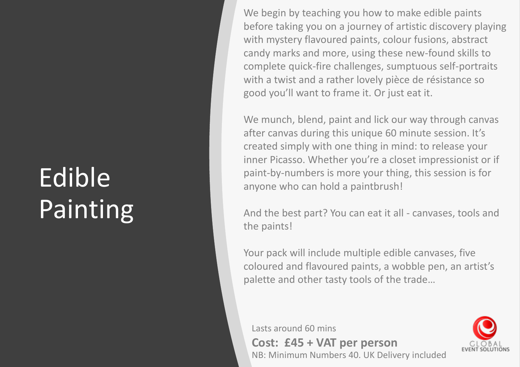### Edible Painting

We begin by teaching you how to make edible paints before taking you on a journey of artistic discovery playing with mystery flavoured paints, colour fusions, abstract candy marks and more, using these new-found skills to complete quick-fire challenges, sumptuous self-portraits with a twist and a rather lovely pièce de résistance so good you'll want to frame it. Or just eat it.

We munch, blend, paint and lick our way through canvas after canvas during this unique 60 minute session. It's created simply with one thing in mind: to release your inner Picasso. Whether you're a closet impressionist or if paint-by-numbers is more your thing, this session is for anyone who can hold a paintbrush!

And the best part? You can eat it all - canvases, tools and the paints!

Your pack will include multiple edible canvases, five coloured and flavoured paints, a wobble pen, an artist's palette and other tasty tools of the trade…

Lasts around 60 mins

**Cost: £45 + VAT per person** NB: Minimum Numbers 40. UK Delivery included

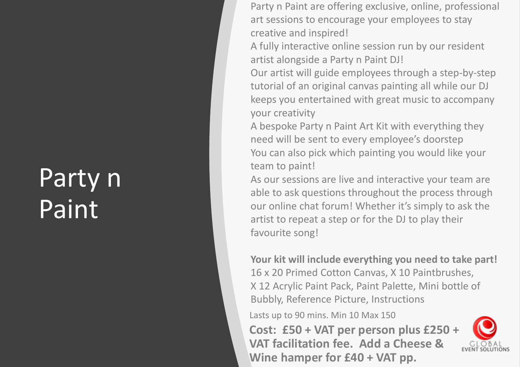#### Party n **Paint**

Party n Paint are offering exclusive, online, professional art sessions to encourage your employees to stay creative and inspired!

A fully interactive online session run by our resident artist alongside a Party n Paint DJ!

Our artist will guide employees through a step -by -step tutorial of an original canvas painting all while our DJ keeps you entertained with great music to accompany your creativity

A bespoke Party n Paint Art Kit with everything they need will be sent to every employee's doorstep You can also pick which painting you would like your team to paint!

As our sessions are live and interactive your team are able to ask questions throughout the process through our online chat forum! Whether it's simply to ask the artist to repeat a step or for the DJ to play their favourite song!

**Your kit will include everything you need to take part!** 16 x 20 Primed Cotton Canvas, X 10 Paintbrushes, X 12 Acrylic Paint Pack, Paint Palette, Mini bottle of Bubbly, Reference Picture, Instructions

Lasts up to 90 mins. Min 10 Max 150

**Cost: £50 + VAT per person plus £250 + VAT facilitation fee. Add a Cheese & Wine hamper for £40 + VAT pp.**

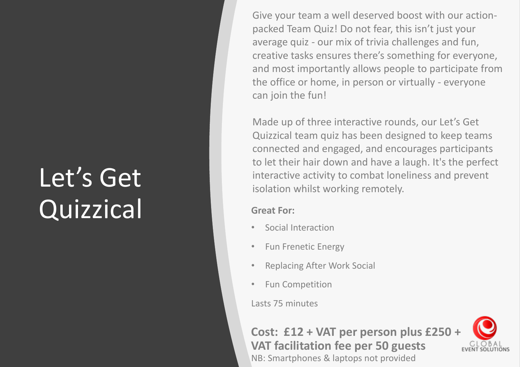# Let's Get Quizzical Great For:

Give your team a well deserved boost with our actionpacked Team Quiz! Do not fear, this isn't just your average quiz - our mix of trivia challenges and fun, creative tasks ensures there's something for everyone, and most importantly allows people to participate from the office or home, in person or virtually - everyone can join the fun!

Made up of three interactive rounds, our Let's Get Quizzical team quiz has been designed to keep teams connected and engaged, and encourages participants to let their hair down and have a laugh. It's the perfect interactive activity to combat loneliness and prevent isolation whilst working remotely.

- Social Interaction
- Fun Frenetic Energy
- Replacing After Work Social
- Fun Competition

Lasts 75 minutes

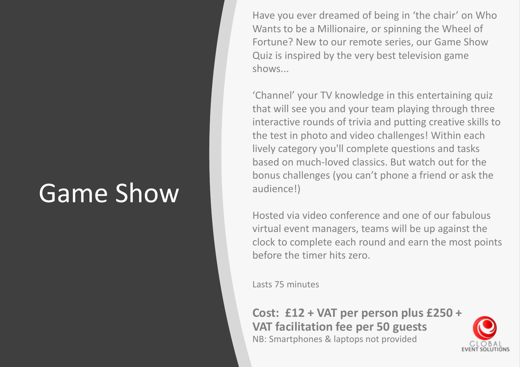#### Game Show

Have you ever dreamed of being in 'the chair' on Who Wants to be a Millionaire, or spinning the Wheel of Fortune? New to our remote series, our Game Show Quiz is inspired by the very best television game shows...

'Channel' your TV knowledge in this entertaining quiz that will see you and your team playing through three interactive rounds of trivia and putting creative skills to the test in photo and video challenges! Within each lively category you'll complete questions and tasks based on much-loved classics. But watch out for the bonus challenges (you can't phone a friend or ask the audience!)

Hosted via video conference and one of our fabulous virtual event managers, teams will be up against the clock to complete each round and earn the most points before the timer hits zero.

Lasts 75 minutes

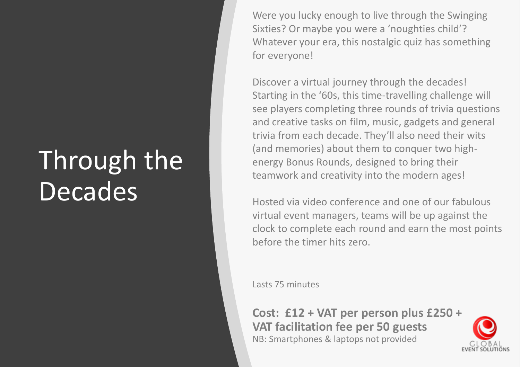#### Through the **Decades**

Were you lucky enough to live through the Swinging Sixties? Or maybe you were a 'noughties child'? Whatever your era, this nostalgic quiz has something for everyone!

Discover a virtual journey through the decades! Starting in the '60s, this time-travelling challenge will see players completing three rounds of trivia questions and creative tasks on film, music, gadgets and general trivia from each decade. They'll also need their wits (and memories) about them to conquer two highenergy Bonus Rounds, designed to bring their teamwork and creativity into the modern ages!

Hosted via video conference and one of our fabulous virtual event managers, teams will be up against the clock to complete each round and earn the most points before the timer hits zero.

Lasts 75 minutes

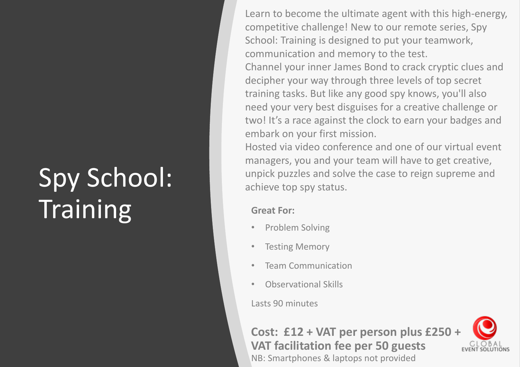### Spy School: **Training** Great For:

Learn to become the ultimate agent with this high-energy, competitive challenge! New to our remote series, Spy School: Training is designed to put your teamwork, communication and memory to the test.

Channel your inner James Bond to crack cryptic clues and decipher your way through three levels of top secret training tasks. But like any good spy knows, you'll also need your very best disguises for a creative challenge or two! It's a race against the clock to earn your badges and embark on your first mission.

Hosted via video conference and one of our virtual event managers, you and your team will have to get creative, unpick puzzles and solve the case to reign supreme and achieve top spy status.

- Problem Solving
- **Testing Memory**
- Team Communication
- Observational Skills

Lasts 90 minutes

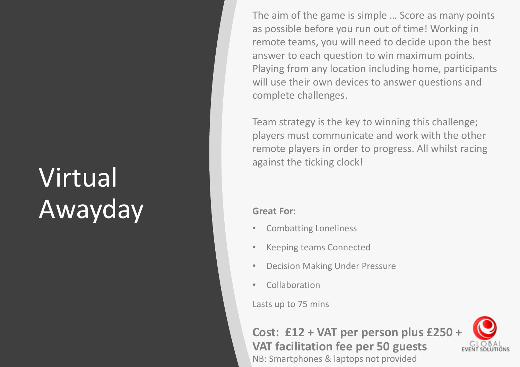### Virtual Awayday **If** Great For:

The aim of the game is simple … Score as many points as possible before you run out of time! Working in remote teams, you will need to decide upon the best answer to each question to win maximum points. Playing from any location including home, participants will use their own devices to answer questions and complete challenges.

Team strategy is the key to winning this challenge; players must communicate and work with the other remote players in order to progress. All whilst racing against the ticking clock!

- Combatting Loneliness
- Keeping teams Connected
- Decision Making Under Pressure
- Collaboration

Lasts up to 75 mins

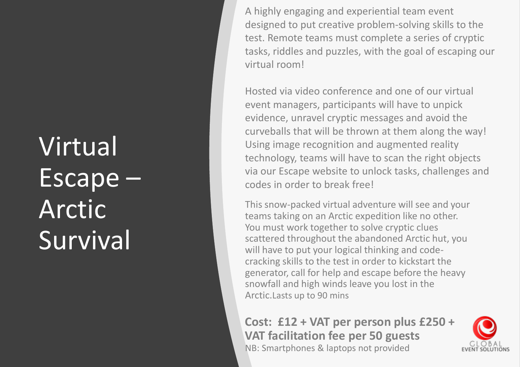### Virtual Escape – Arctic **Survival**

A highly engaging and experiential team event designed to put creative problem-solving skills to the test. Remote teams must complete a series of cryptic tasks, riddles and puzzles, with the goal of escaping our virtual room!

Hosted via video conference and one of our virtual event managers, participants will have to unpick evidence, unravel cryptic messages and avoid the curveballs that will be thrown at them along the way! Using image recognition and augmented reality technology, teams will have to scan the right objects via our Escape website to unlock tasks, challenges and codes in order to break free!

This snow-packed virtual adventure will see and your teams taking on an Arctic expedition like no other. You must work together to solve cryptic clues scattered throughout the abandoned Arctic hut, you will have to put your logical thinking and codecracking skills to the test in order to kickstart the generator, call for help and escape before the heavy snowfall and high winds leave you lost in the Arctic.Lasts up to 90 mins

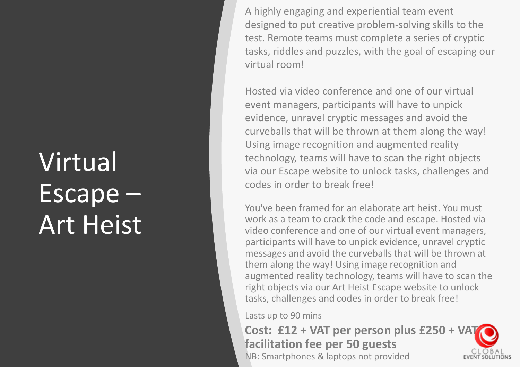### **Virtual** Escape – Art Heist

A highly engaging and experiential team event designed to put creative problem-solving skills to the test. Remote teams must complete a series of cryptic tasks, riddles and puzzles, with the goal of escaping our virtual room!

Hosted via video conference and one of our virtual event managers, participants will have to unpick evidence, unravel cryptic messages and avoid the curveballs that will be thrown at them along the way! Using image recognition and augmented reality technology, teams will have to scan the right objects via our Escape website to unlock tasks, challenges and codes in order to break free!

You've been framed for an elaborate art heist. You must work as a team to crack the code and escape. Hosted via video conference and one of our virtual event managers, participants will have to unpick evidence, unravel cryptic messages and avoid the curveballs that will be thrown at them along the way! Using image recognition and augmented reality technology, teams will have to scan the right objects via our Art Heist Escape website to unlock tasks, challenges and codes in order to break free!

Lasts up to 90 mins

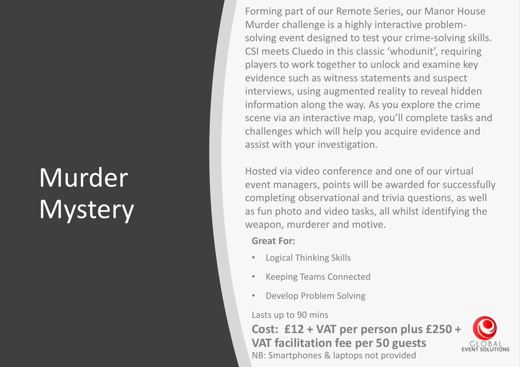## Murder **Mystery**

Forming part of our Remote Series, our Manor House Murder challenge is a highly interactive problemsolving event designed to test your crime-solving skills. CSI meets Cluedo in this classic 'whodunit', requiring players to work together to unlock and examine key evidence such as witness statements and suspect interviews, using augmented reality to reveal hidden information along the way. As you explore the crime scene via an interactive map, you'll complete tasks and challenges which will help you acquire evidence and assist with your investigation.

Hosted via video conference and one of our virtual event managers, points will be awarded for successfully completing observational and trivia questions, as well as fun photo and video tasks, all whilst identifying the weapon, murderer and motive.

**Great For:**

- Logical Thinking Skills
- Keeping Teams Connected
- Develop Problem Solving

Lasts up to 90 mins

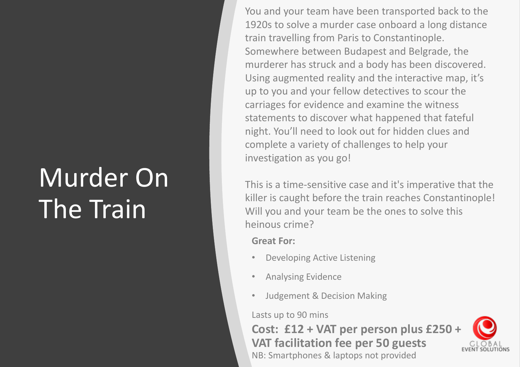### Murder On The Train

You and your team have been transported back to the 1920s to solve a murder case onboard a long distance train travelling from Paris to Constantinople. Somewhere between Budapest and Belgrade, the murderer has struck and a body has been discovered. Using augmented reality and the interactive map, it's up to you and your fellow detectives to scour the carriages for evidence and examine the witness statements to discover what happened that fateful night. You'll need to look out for hidden clues and complete a variety of challenges to help your investigation as you go!

This is a time-sensitive case and it's imperative that the killer is caught before the train reaches Constantinople! Will you and your team be the ones to solve this heinous crime?

**Great For:**

- Developing Active Listening
- Analysing Evidence
- Judgement & Decision Making

Lasts up to 90 mins

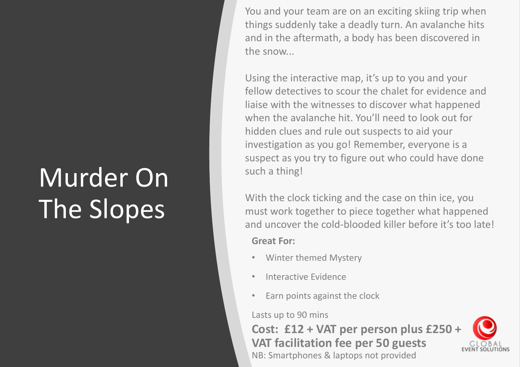### Murder On The Slopes

You and your team are on an exciting skiing trip when things suddenly take a deadly turn. An avalanche hits and in the aftermath, a body has been discovered in the snow...

Using the interactive map, it's up to you and your fellow detectives to scour the chalet for evidence and liaise with the witnesses to discover what happened when the avalanche hit. You'll need to look out for hidden clues and rule out suspects to aid your investigation as you go! Remember, everyone is a suspect as you try to figure out who could have done such a thing!

**Great For:** With the clock ticking and the case on thin ice, you must work together to piece together what happened and uncover the cold-blooded killer before it's too late!

- Winter themed Mystery
- Interactive Evidence
- Earn points against the clock

#### Lasts up to 90 mins

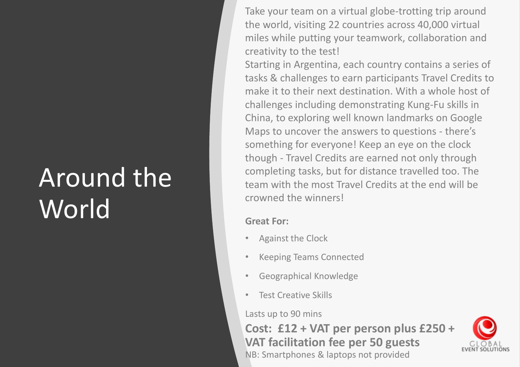#### Around the World **Great For:**

Take your team on a virtual globe-trotting trip around the world, visiting 22 countries across 40,000 virtual miles while putting your teamwork, collaboration and creativity to the test!

Starting in Argentina, each country contains a series of tasks & challenges to earn participants Travel Credits to make it to their next destination. With a whole host of challenges including demonstrating Kung-Fu skills in China, to exploring well known landmarks on Google Maps to uncover the answers to questions - there's something for everyone! Keep an eye on the clock though - Travel Credits are earned not only through completing tasks, but for distance travelled too. The team with the most Travel Credits at the end will be crowned the winners!

- Against the Clock
- Keeping Teams Connected
- Geographical Knowledge
- Test Creative Skills

#### Lasts up to 90 mins

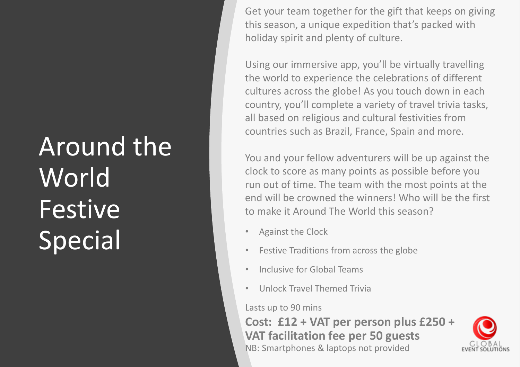### Around the World Festive Special • Against the Clock

Get your team together for the gift that keeps on giving this season, a unique expedition that's packed with holiday spirit and plenty of culture.

Using our immersive app, you'll be virtually travelling the world to experience the celebrations of different cultures across the globe! As you touch down in each country, you'll complete a variety of travel trivia tasks, all based on religious and cultural festivities from countries such as Brazil, France, Spain and more.

You and your fellow adventurers will be up against the clock to score as many points as possible before you run out of time. The team with the most points at the end will be crowned the winners! Who will be the first to make it Around The World this season?

- 
- Festive Traditions from across the globe
- Inclusive for Global Teams
- Unlock Travel Themed Trivia

Lasts up to 90 mins

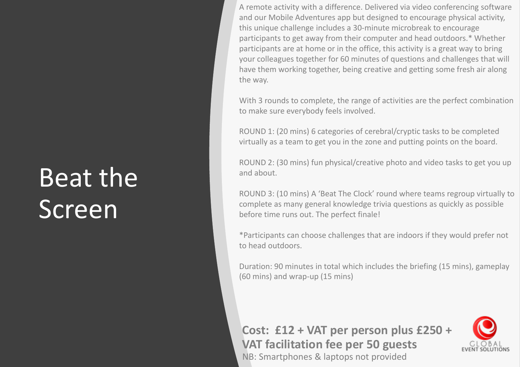#### Beat the **Screen**

A remote activity with a difference. Delivered via video conferencing software and our Mobile Adventures app but designed to encourage physical activity, this unique challenge includes a 30-minute microbreak to encourage participants to get away from their computer and head outdoors.\* Whether participants are at home or in the office, this activity is a great way to bring your colleagues together for 60 minutes of questions and challenges that will have them working together, being creative and getting some fresh air along the way.

With 3 rounds to complete, the range of activities are the perfect combination to make sure everybody feels involved.

ROUND 1: (20 mins) 6 categories of cerebral/cryptic tasks to be completed virtually as a team to get you in the zone and putting points on the board.

ROUND 2: (30 mins) fun physical/creative photo and video tasks to get you up and about.

ROUND 3: (10 mins) A 'Beat The Clock' round where teams regroup virtually to complete as many general knowledge trivia questions as quickly as possible before time runs out. The perfect finale!

\*Participants can choose challenges that are indoors if they would prefer not to head outdoors.

Duration: 90 minutes in total which includes the briefing (15 mins), gameplay (60 mins) and wrap-up (15 mins)

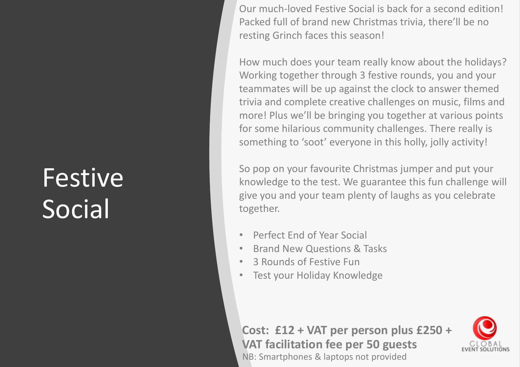#### **Festive Social**

Our much-loved Festive Social is back for a second edition! Packed full of brand new Christmas trivia, there'll be no resting Grinch faces this season!

How much does your team really know about the holidays? Working together through 3 festive rounds, you and your teammates will be up against the clock to answer themed trivia and complete creative challenges on music, films and more! Plus we'll be bringing you together at various points for some hilarious community challenges. There really is something to 'soot' everyone in this holly, jolly activity!

So pop on your favourite Christmas jumper and put your knowledge to the test. We guarantee this fun challenge will give you and your team plenty of laughs as you celebrate together.

- Perfect End of Year Social
- Brand New Questions & Tasks
- 3 Rounds of Festive Fun
- Test your Holiday Knowledge

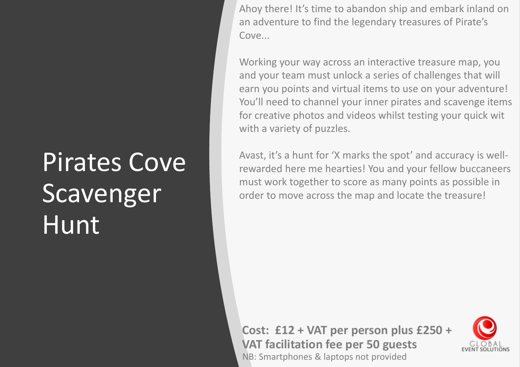#### Pirates Cove **Scavenger** Hunt

Ahoy there! It's time to abandon ship and embark inland on an adventure to find the legendary treasures of Pirate's Cove...

Working your way across an interactive treasure map, you and your team must unlock a series of challenges that will earn you points and virtual items to use on your adventure! You'll need to channel your inner pirates and scavenge items for creative photos and videos whilst testing your quick wit with a variety of puzzles.

Avast, it's a hunt for 'X marks the spot' and accuracy is wellrewarded here me hearties! You and your fellow buccaneers must work together to score as many points as possible in order to move across the map and locate the treasure!

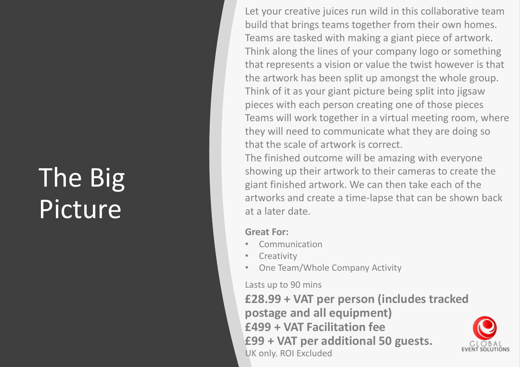### The Big Picture

Let your creative juices run wild in this collaborative team build that brings teams together from their own homes. Teams are tasked with making a giant piece of artwork. Think along the lines of your company logo or something that represents a vision or value the twist however is that the artwork has been split up amongst the whole group. Think of it as your giant picture being split into jigsaw pieces with each person creating one of those pieces Teams will work together in a virtual meeting room, where they will need to communicate what they are doing so that the scale of artwork is correct.

The finished outcome will be amazing with everyone showing up their artwork to their cameras to create the giant finished artwork. We can then take each of the artworks and create a time-lapse that can be shown back at a later date.

#### **Great For:**

- **Communication**
- **Creativity**
- One Team/Whole Company Activity

Lasts up to 90 mins

**£28.99 + VAT per person (includes tracked postage and all equipment) £499 + VAT Facilitation fee £99 + VAT per additional 50 guests.**  UK only. ROI Excluded

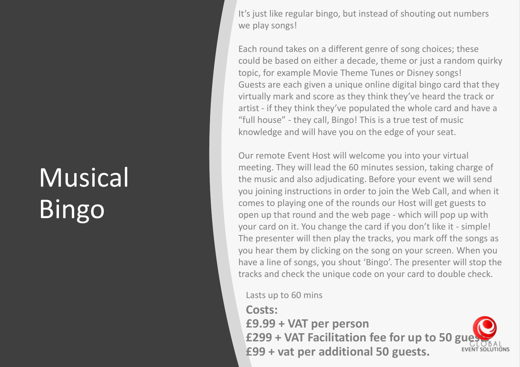### Musical Bingo

It's just like regular bingo, but instead of shouting out numbers we play songs!

Each round takes on a different genre of song choices; these could be based on either a decade, theme or just a random quirky topic, for example Movie Theme Tunes or Disney songs! Guests are each given a unique online digital bingo card that they virtually mark and score as they think they've heard the track or artist - if they think they've populated the whole card and have a "full house" - they call, Bingo! This is a true test of music knowledge and will have you on the edge of your seat.

Our remote Event Host will welcome you into your virtual meeting. They will lead the 60 minutes session, taking charge of the music and also adjudicating. Before your event we will send you joining instructions in order to join the Web Call, and when it comes to playing one of the rounds our Host will get guests to open up that round and the web page - which will pop up with your card on it. You change the card if you don't like it - simple! The presenter will then play the tracks, you mark off the songs as you hear them by clicking on the song on your screen. When you have a line of songs, you shout 'Bingo'. The presenter will stop the tracks and check the unique code on your card to double check.

Lasts up to 60 mins

**Costs:**

**£9.99 + VAT per person** £299 + VAT Facilitation fee for up to 50 gu **£99 + vat per additional 50 guests.** 

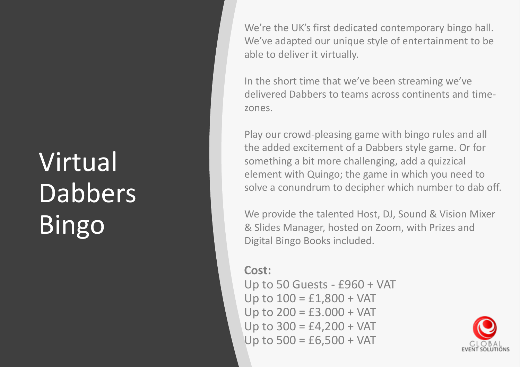## Virtual Dabbers<sup>1</sup> Bingo

We're the UK's first dedicated contemporary bingo hall. We've adapted our unique style of entertainment to be able to deliver it virtually.

In the short time that we've been streaming we've delivered Dabbers to teams across continents and timezones.

Play our crowd-pleasing game with bingo rules and all the added excitement of a Dabbers style game. Or for something a bit more challenging, add a quizzical element with Quingo; the game in which you need to solve a conundrum to decipher which number to dab off.

We provide the talented Host, DJ, Sound & Vision Mixer & Slides Manager, hosted on Zoom, with Prizes and Digital Bingo Books included.

**Cost:** 

Up to 50 Guests - £960 + VAT Up to  $100 = £1,800 + VAT$ Up to  $200 = £3.000 + VAT$ Up to  $300 = £4,200 + VAT$ Up to  $500 = £6,500 + VAT$ 

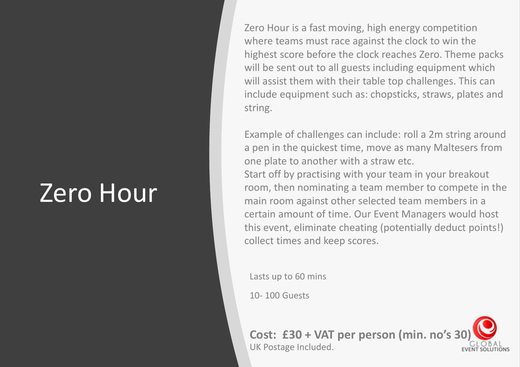#### Zero Hour

Zero Hour is a fast moving, high energy competition where teams must race against the clock to win the highest score before the clock reaches Zero. Theme packs will be sent out to all guests including equipment which will assist them with their table top challenges. This can include equipment such as: chopsticks, straws, plates and string.

Example of challenges can include: roll a 2m string around a pen in the quickest time, move as many Maltesers from one plate to another with a straw etc. Start off by practising with your team in your breakout room, then nominating a team member to compete in the main room against other selected team members in a certain amount of time. Our Event Managers would host this event, eliminate cheating (potentially deduct points!) collect times and keep scores.

Lasts up to 60 mins

10- 100 Guests

**Cost: £30 + VAT per person (min. no's 30)** UK Postage Included.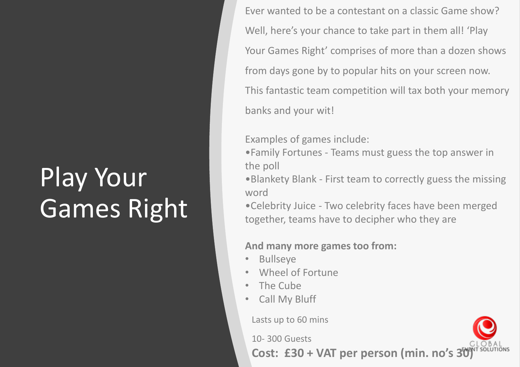## Play Your Games Right

Ever wanted to be a contestant on a classic Game show? Well, here's your chance to take part in them all! 'Play Your Games Right' comprises of more than a dozen shows from days gone by to popular hits on your screen now. This fantastic team competition will tax both your memory banks and your wit!

Examples of games include:

•Family Fortunes - Teams must guess the top answer in the poll

•Blankety Blank - First team to correctly guess the missing word

•Celebrity Juice - Two celebrity faces have been merged together, teams have to decipher who they are

#### **And many more games too from:**

- **Bullseye**
- Wheel of Fortune
- The Cube
- Call My Bluff

Lasts up to 60 mins

10- 300 Guests

**Cost: £30 + VAT per person (min. no's 30)**

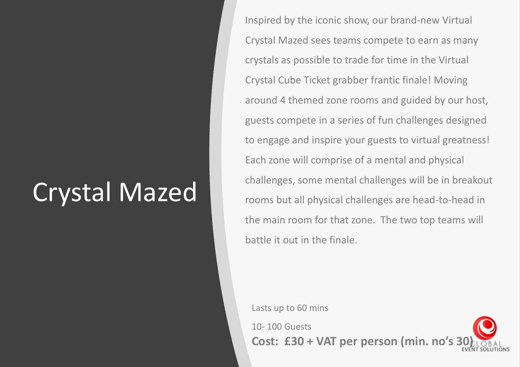#### Crystal Mazed

Inspired by the iconic show, our brand-new Virtual Crystal Mazed sees teams compete to earn as many crystals as possible to trade for time in the Virtual Crystal Cube Ticket grabber frantic finale! Moving around 4 themed zone rooms and guided by our host, guests compete in a series of fun challenges designed to engage and inspire your guests to virtual greatness! Each zone will comprise of a mental and physical challenges, some mental challenges will be in breakout rooms but all physical challenges are head-to-head in the main room for that zone. The two top teams will battle it out in the finale.

Lasts up to 60 mins

10- 100 Guests **Cost: £30 + VAT per person (min. no's**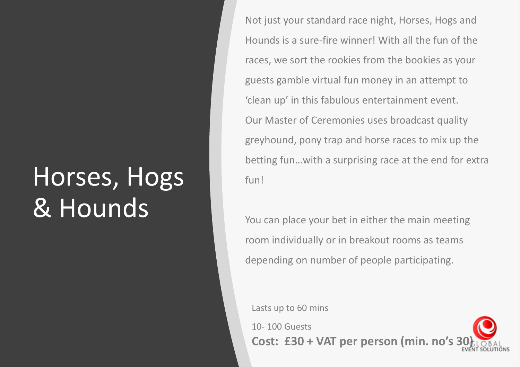#### Horses, Hogs & Hounds

Not just your standard race night, Horses, Hogs and Hounds is a sure-fire winner! With all the fun of the races, we sort the rookies from the bookies as your guests gamble virtual fun money in an attempt to 'clean up' in this fabulous entertainment event. Our Master of Ceremonies uses broadcast quality greyhound, pony trap and horse races to mix up the betting fun…with a surprising race at the end for extra fun!

You can place your bet in either the main meeting room individually or in breakout rooms as teams depending on number of people participating.

Lasts up to 60 mins

10- 100 Guests **Cost: £30 + VAT per person (min. no's**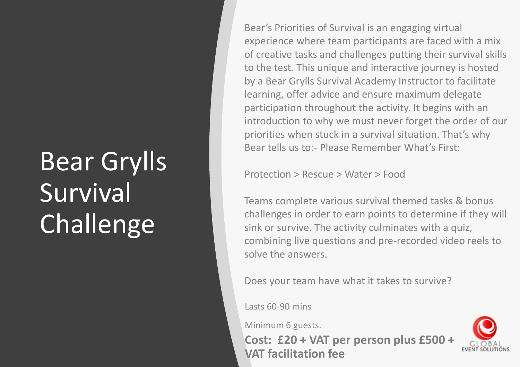### Bear Grylls **Survival Challenge**

Bear's Priorities of Survival is an engaging virtual experience where team participants are faced with a mix of creative tasks and challenges putting their survival skills to the test. This unique and interactive journey is hosted by a Bear Grylls Survival Academy Instructor to facilitate learning, offer advice and ensure maximum delegate participation throughout the activity. It begins with an introduction to why we must never forget the order of our priorities when stuck in a survival situation. That's why Bear tells us to:- Please Remember What's First:

Protection > Rescue > Water > Food

Teams complete various survival themed tasks & bonus challenges in order to earn points to determine if they will sink or survive. The activity culminates with a quiz, combining live questions and pre-recorded video reels to solve the answers.

Does your team have what it takes to survive?

Lasts 60-90 mins

Minimum 6 guests.

**Cost: £20 + VAT per person plus £500 + VAT facilitation fee** 

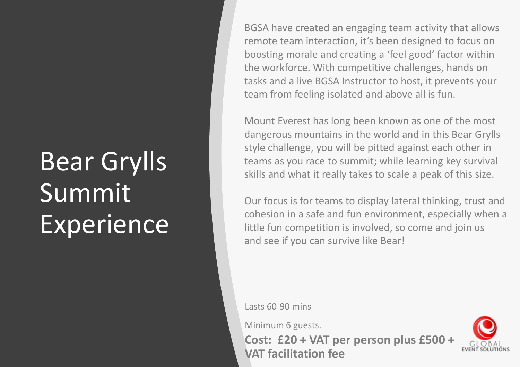### Bear Grylls Summit Experience

BGSA have created an engaging team activity that allows remote team interaction, it's been designed to focus on boosting morale and creating a 'feel good' factor within the workforce. With competitive challenges, hands on tasks and a live BGSA Instructor to host, it prevents your team from feeling isolated and above all is fun.

Mount Everest has long been known as one of the most dangerous mountains in the world and in this Bear Grylls style challenge, you will be pitted against each other in teams as you race to summit; while learning key survival skills and what it really takes to scale a peak of this size.

Our focus is for teams to display lateral thinking, trust and cohesion in a safe and fun environment, especially when a little fun competition is involved, so come and join us and see if you can survive like Bear!

Lasts 60-90 mins

Minimum 6 guests.

**Cost: £20 + VAT per person plus £500 + VAT facilitation fee** 

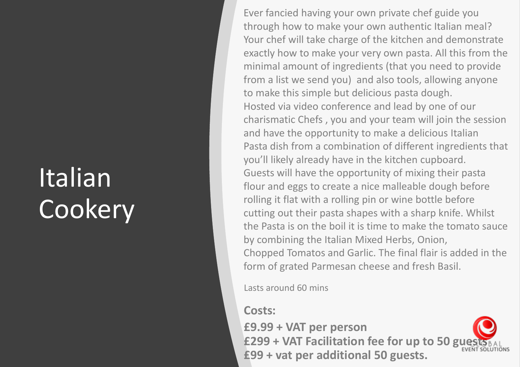#### Italian **Cookery**

Ever fancied having your own private chef guide you through how to make your own authentic Italian meal? Your chef will take charge of the kitchen and demonstrate exactly how to make your very own pasta. All this from the minimal amount of ingredients (that you need to provide from a list we send you) and also tools, allowing anyone to make this simple but delicious pasta dough. Hosted via video conference and lead by one of our charismatic Chefs , you and your team will join the session and have the opportunity to make a delicious Italian Pasta dish from a combination of different ingredients that you'll likely already have in the kitchen cupboard. Guests will have the opportunity of mixing their pasta flour and eggs to create a nice malleable dough before rolling it flat with a rolling pin or wine bottle before cutting out their pasta shapes with a sharp knife. Whilst the Pasta is on the boil it is time to make the tomato sauce by combining the Italian Mixed Herbs, Onion, Chopped Tomatos and Garlic. The final flair is added in the form of grated Parmesan cheese and fresh Basil.

Lasts around 60 mins

#### **Costs:**

**£9.99 + VAT per person** £299 + VAT Facilitation fee for up to 50 gu **£99 + vat per additional 50 guests.** 

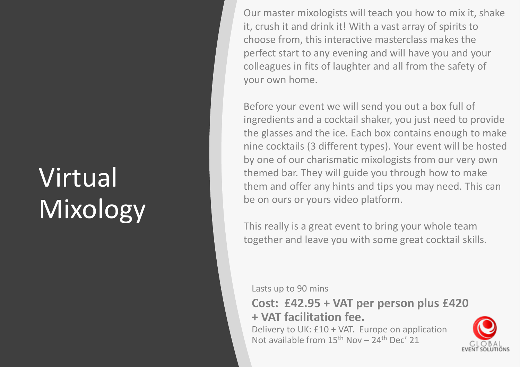### Virtual Mixology

Our master mixologists will teach you how to mix it, shake it, crush it and drink it! With a vast array of spirits to choose from, this interactive masterclass makes the perfect start to any evening and will have you and your colleagues in fits of laughter and all from the safety of your own home.

Before your event we will send you out a box full of ingredients and a cocktail shaker, you just need to provide the glasses and the ice. Each box contains enough to make nine cocktails (3 different types). Your event will be hosted by one of our charismatic mixologists from our very own themed bar. They will guide you through how to make them and offer any hints and tips you may need. This can be on ours or yours video platform.

This really is a great event to bring your whole team together and leave you with some great cocktail skills.

Lasts up to 90 mins

**Cost: £42.95 + VAT per person plus £420 + VAT facilitation fee.** 

Delivery to UK: £10 + VAT. Europe on application Not available from  $15<sup>th</sup>$  Nov - 24<sup>th</sup> Dec' 21

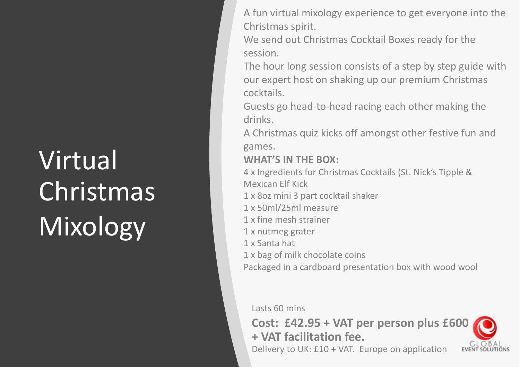# Virtual **Christmas** Mixology

A fun virtual mixology experience to get everyone into the Christmas spirit.

We send out Christmas Cocktail Boxes ready for the session.

The hour long session consists of a step by step guide with our expert host on shaking up our premium Christmas cocktails.

Guests go head-to-head racing each other making the drinks.

A Christmas quiz kicks off amongst other festive fun and games.

#### **WHAT'S IN THE BOX:**

4 x Ingredients for Christmas Cocktails (St. Nick's Tipple & Mexican Elf Kick

- 1 x 8oz mini 3 part cocktail shaker
- 1 x 50ml/25ml measure
- 1 x fine mesh strainer
- 1 x nutmeg grater
- 1 x Santa hat
- 1 x bag of milk chocolate coins

Packaged in a cardboard presentation box with wood wool

Lasts 60 mins

**Cost: £42.95 + VAT per person plus £600 + VAT facilitation fee.** 



Delivery to UK: £10 + VAT. Europe on application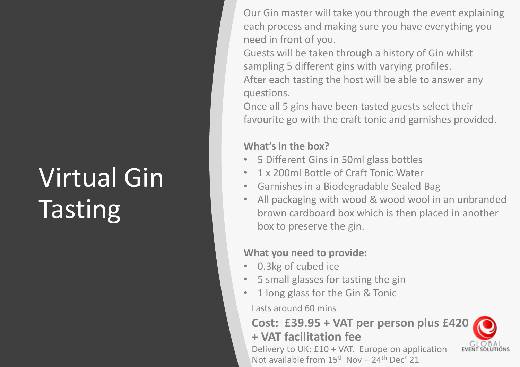### Virtual Gin **Tasting**

Our Gin master will take you through the event explaining each process and making sure you have everything you need in front of you.

Guests will be taken through a history of Gin whilst sampling 5 different gins with varying profiles. After each tasting the host will be able to answer any questions.

Once all 5 gins have been tasted guests select their favourite go with the craft tonic and garnishes provided.

#### **What's in the box?**

- 5 Different Gins in 50ml glass bottles
- 1 x 200ml Bottle of Craft Tonic Water
- Garnishes in a Biodegradable Sealed Bag
- All packaging with wood & wood wool in an unbranded brown cardboard box which is then placed in another box to preserve the gin.

#### **What you need to provide:**

- 0.3kg of cubed ice
- 5 small glasses for tasting the gin
- 1 long glass for the Gin & Tonic

Lasts around 60 mins

#### **Cost: £39.95 + VAT per person plus £420 + VAT facilitation fee**

Delivery to UK: £10 + VAT. Europe on application Not available from  $15<sup>th</sup>$  Nov – 24<sup>th</sup> Dec' 21

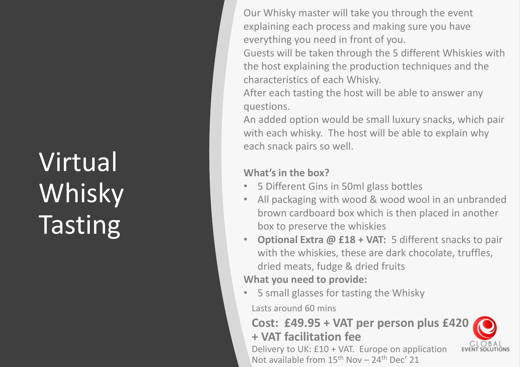## Virtual Whisky **Tasting**

Our Whisky master will take you through the event explaining each process and making sure you have everything you need in front of you.

Guests will be taken through the 5 different Whiskies with the host explaining the production techniques and the characteristics of each Whisky.

After each tasting the host will be able to answer any questions.

An added option would be small luxury snacks, which pair with each whisky. The host will be able to explain why each snack pairs so well.

#### **What's in the box?**

- 5 Different Gins in 50ml glass bottles
- All packaging with wood & wood wool in an unbranded brown cardboard box which is then placed in another box to preserve the whiskies
- **Optional Extra @ £18 + VAT:** 5 different snacks to pair with the whiskies, these are dark chocolate, truffles, dried meats, fudge & dried fruits **What you need to provide:**
- 5 small glasses for tasting the Whisky

Lasts around 60 mins

#### **Cost: £49.95 + VAT per person plus £420 + VAT facilitation fee**

Delivery to UK: £10 + VAT. Europe on application Not available from  $15<sup>th</sup>$  Nov - 24<sup>th</sup> Dec' 21

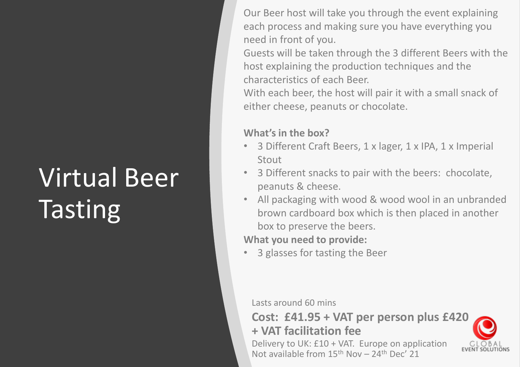### Virtual Beer **Tasting**

Our Beer host will take you through the event explaining each process and making sure you have everything you need in front of you.

Guests will be taken through the 3 different Beers with the host explaining the production techniques and the characteristics of each Beer.

With each beer, the host will pair it with a small snack of either cheese, peanuts or chocolate.

#### **What's in the box?**

- 3 Different Craft Beers, 1 x lager, 1 x IPA, 1 x Imperial Stout
- 3 Different snacks to pair with the beers: chocolate, peanuts & cheese.
- All packaging with wood & wood wool in an unbranded brown cardboard box which is then placed in another box to preserve the beers.

**What you need to provide:**

• 3 glasses for tasting the Beer

Lasts around 60 mins

**Cost: £41.95 + VAT per person plus £420 + VAT facilitation fee** 

Delivery to UK: £10 + VAT. Europe on application Not available from  $15<sup>th</sup>$  Nov – 24<sup>th</sup> Dec' 21

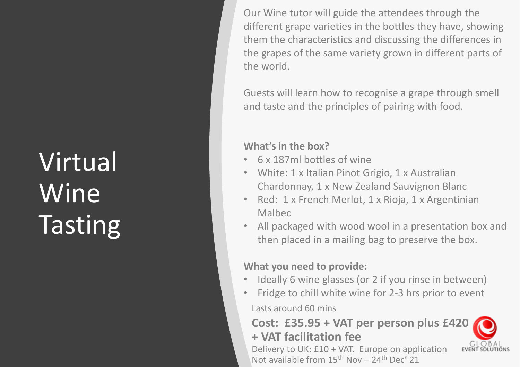## Virtual Wine **Tasting**

Our Wine tutor will guide the attendees through the different grape varieties in the bottles they have, showing them the characteristics and discussing the differences in the grapes of the same variety grown in different parts of the world.

Guests will learn how to recognise a grape through smell and taste and the principles of pairing with food.

#### **What's in the box?**

- 6 x 187ml bottles of wine
- White: 1 x Italian Pinot Grigio, 1 x Australian Chardonnay, 1 x New Zealand Sauvignon Blanc
- Red: 1 x French Merlot, 1 x Rioja, 1 x Argentinian Malbec
- All packaged with wood wool in a presentation box and then placed in a mailing bag to preserve the box.

#### **What you need to provide:**

- Ideally 6 wine glasses (or 2 if you rinse in between)
- Lasts around 60 mins • Fridge to chill white wine for 2-3 hrs prior to event

#### **Cost: £35.95 + VAT per person plus £420 + VAT facilitation fee**

Delivery to UK: £10 + VAT. Europe on application Not available from  $15<sup>th</sup>$  Nov – 24<sup>th</sup> Dec' 21

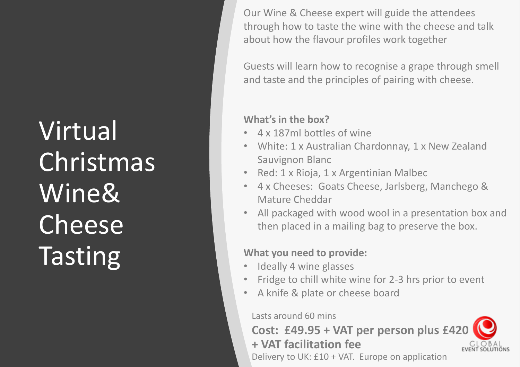Virtual Christmas Wine& Cheese **Tasting** 

Our Wine & Cheese expert will guide the attendees through how to taste the wine with the cheese and talk about how the flavour profiles work together

Guests will learn how to recognise a grape through smell and taste and the principles of pairing with cheese.

#### **What's in the box?**

- 4 x 187ml bottles of wine
- White: 1 x Australian Chardonnay, 1 x New Zealand Sauvignon Blanc
- Red: 1 x Rioja, 1 x Argentinian Malbec
- 4 x Cheeses: Goats Cheese, Jarlsberg, Manchego & Mature Cheddar
- All packaged with wood wool in a presentation box and then placed in a mailing bag to preserve the box.

#### **What you need to provide:**

- Ideally 4 wine glasses
- Fridge to chill white wine for 2-3 hrs prior to event
- A knife & plate or cheese board

#### Lasts around 60 mins

#### **Cost: £49.95 + VAT per person plus £420 + VAT facilitation fee**  Delivery to UK: £10 + VAT. Europe on application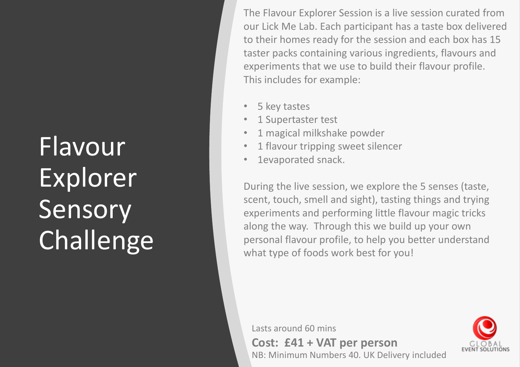## Flavour Explorer Sensory Challenge

The Flavour Explorer Session is a live session curated from our Lick Me Lab. Each participant has a taste box delivered to their homes ready for the session and each box has 15 taster packs containing various ingredients, flavours and experiments that we use to build their flavour profile. This includes for example:

- 5 key tastes
- 1 Supertaster test
- 1 magical milkshake powder
- 1 flavour tripping sweet silencer
- 1evaporated snack.

During the live session, we explore the 5 senses (taste, scent, touch, smell and sight), tasting things and trying experiments and performing little flavour magic tricks along the way. Through this we build up your own personal flavour profile, to help you better understand what type of foods work best for you!

Lasts around 60 mins

**Cost: £41 + VAT per person** NB: Minimum Numbers 40. UK Delivery included

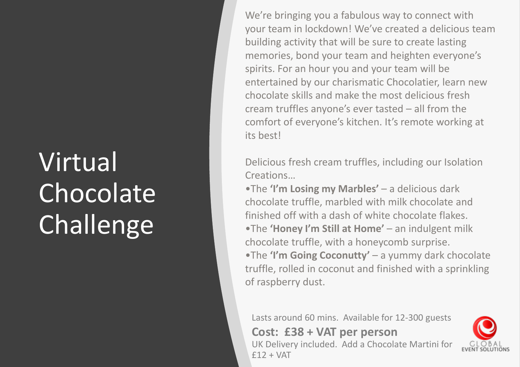### Virtual **Chocolate** Challenge

We're bringing you a fabulous way to connect with your team in lockdown! We've created a delicious team building activity that will be sure to create lasting memories, bond your team and heighten everyone's spirits. For an hour you and your team will be entertained by our charismatic Chocolatier, learn new chocolate skills and make the most delicious fresh cream truffles anyone's ever tasted – all from the comfort of everyone's kitchen. It's remote working at its best!

Delicious fresh cream truffles, including our Isolation Creations…

•The **'I'm Losing my Marbles'** – a delicious dark chocolate truffle, marbled with milk chocolate and finished off with a dash of white chocolate flakes. •The **'Honey I'm Still at Home'** – an indulgent milk chocolate truffle, with a honeycomb surprise. •The **'I'm Going Coconutty'** – a yummy dark chocolate truffle, rolled in coconut and finished with a sprinkling of raspberry dust.

Lasts around 60 mins. Available for 12-300 guests **Cost: £38 + VAT per person** UK Delivery included. Add a Chocolate Martini for £12 + VAT

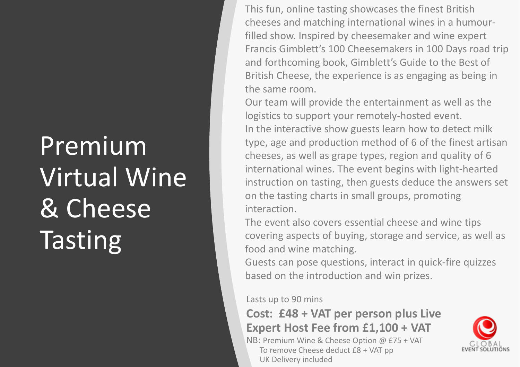### Premium Virtual Wine & Cheese **Tasting**

This fun, online tasting showcases the finest British cheeses and matching international wines in a humourfilled show. Inspired by cheesemaker and wine expert Francis Gimblett's 100 Cheesemakers in 100 Days road trip and forthcoming book, Gimblett's Guide to the Best of British Cheese, the experience is as engaging as being in the same room.

Our team will provide the entertainment as well as the logistics to support your remotely-hosted event. In the interactive show guests learn how to detect milk type, age and production method of 6 of the finest artisan cheeses, as well as grape types, region and quality of 6 international wines. The event begins with light-hearted instruction on tasting, then guests deduce the answers set on the tasting charts in small groups, promoting interaction.

The event also covers essential cheese and wine tips covering aspects of buying, storage and service, as well as food and wine matching.

Guests can pose questions, interact in quick-fire quizzes based on the introduction and win prizes.

Lasts up to 90 mins

#### **Cost: £48 + VAT per person plus Live Expert Host Fee from £1,100 + VAT**

NB: Premium Wine & Cheese Option @ £75 + VAT To remove Cheese deduct £8 + VAT pp UK Delivery included

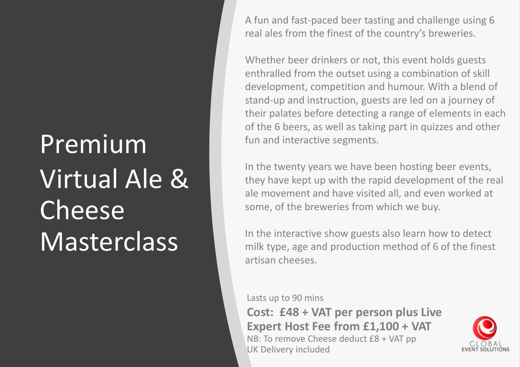## Premium Virtual Ale & Cheese **Masterclass**

A fun and fast-paced beer tasting and challenge using 6 real ales from the finest of the country's breweries.

Whether beer drinkers or not, this event holds guests enthralled from the outset using a combination of skill development, competition and humour. With a blend of stand-up and instruction, guests are led on a journey of their palates before detecting a range of elements in each of the 6 beers, as well as taking part in quizzes and other fun and interactive segments.

In the twenty years we have been hosting beer events, they have kept up with the rapid development of the real ale movement and have visited all, and even worked at some, of the breweries from which we buy.

In the interactive show guests also learn how to detect milk type, age and production method of 6 of the finest artisan cheeses.

Lasts up to 90 mins

**Cost: £48 + VAT per person plus Live Expert Host Fee from £1,100 + VAT** NB: To remove Cheese deduct £8 + VAT pp UK Delivery included

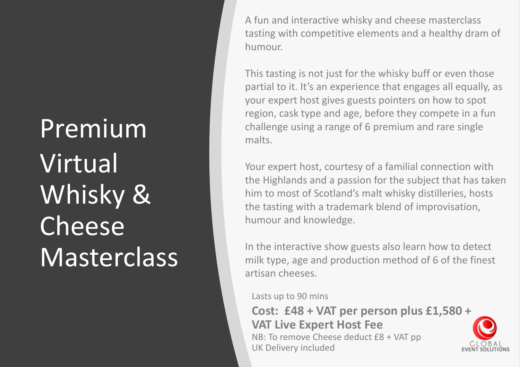## Premium Virtual Whisky & Cheese **Masterclass**

A fun and interactive whisky and cheese masterclass tasting with competitive elements and a healthy dram of humour.

This tasting is not just for the whisky buff or even those partial to it. It's an experience that engages all equally, as your expert host gives guests pointers on how to spot region, cask type and age, before they compete in a fun challenge using a range of 6 premium and rare single malts.

Your expert host, courtesy of a familial connection with the Highlands and a passion for the subject that has taken him to most of Scotland's malt whisky distilleries, hosts the tasting with a trademark blend of improvisation, humour and knowledge.

In the interactive show guests also learn how to detect milk type, age and production method of 6 of the finest artisan cheeses.

Lasts up to 90 mins

**Cost: £48 + VAT per person plus £1,580 + VAT Live Expert Host Fee** NB: To remove Cheese deduct £8 + VAT pp UK Delivery included